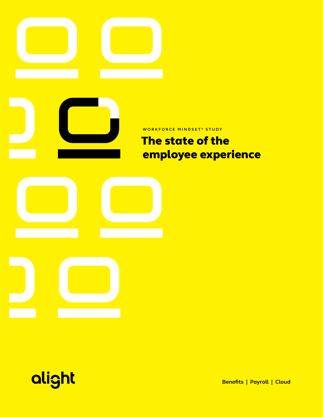



**Benefits | Payroll | Cloud**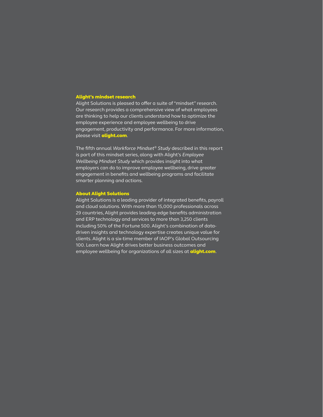### Alight's mindset research

Alight Solutions is pleased to offer a suite of "mindset" research. Our research provides a comprehensive view of what employees are thinking to help our clients understand how to optimize the employee experience and employee wellbeing to drive engagement, productivity and performance. For more information, please visit **alight.com**.

The fifth annual *Workforce Mindset® Study* described in this report is part of this mindset series, along with Alight's *Employee Wellbeing Mindset Study* which provides insight into what employers can do to improve employee wellbeing, drive greater engagement in benefits and wellbeing programs and facilitate smarter planning and actions.

#### About Alight Solutions

Alight Solutions is a leading provider of integrated benefits, payroll and cloud solutions. With more than 15,000 professionals across 29 countries, Alight provides leading-edge benefits administration and ERP technology and services to more than 3,250 clients including 50% of the Fortune 500. Alight's combination of datadriven insights and technology expertise creates unique value for clients. Alight is a six-time member of IAOP's Global Outsourcing 100. Learn how Alight drives better business outcomes and employee wellbeing for organizations of all sizes at **alight.com**.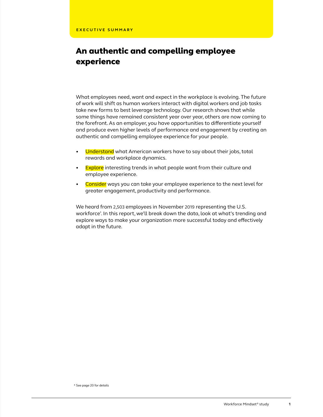### An authentic and compelling employee experience

What employees need, want and expect in the workplace is evolving. The future of work will shift as human workers interact with digital workers and job tasks take new forms to best leverage technology. Our research shows that while some things have remained consistent year over year, others are now coming to the forefront. As an employer, you have opportunities to differentiate yourself and produce even higher levels of performance and engagement by creating an authentic and compelling employee experience for your people.

- Understand what American workers have to say about their jobs, total rewards and workplace dynamics.
- Explore interesting trends in what people want from their culture and employee experience.
- Consider ways you can take your employee experience to the next level for greater engagement, productivity and performance.

We heard from 2,503 employees in November 2019 representing the U.S. workforce\* . In this report, we'll break down the data, look at what's trending and explore ways to make your organization more successful today and effectively adapt in the future.

\* See page 20 for details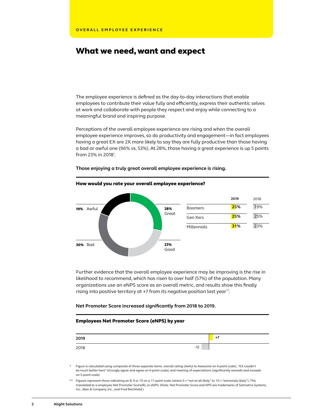### What we need, want and expect

The employee experience is defined as the day-to-day interactions that enable employees to contribute their value fully and efficiently, express their authentic selves at work and collaborate with people they respect and enjoy while connecting to a meaningful brand and inspiring purpose.

Perceptions of the overall employee experience are rising and when the overall employee experience improves, so do productivity and engagement—in fact employees having a great EX are 2X more likely to say they are fully productive than those having a bad or awful one (96% vs. 53%). At 28%, those having a great experience is up 5 points from 23% in 2018\* .



**Those enjoying a truly great overall employee experience is rising.** 

Further evidence that the overall employee experience may be improving is the rise in likelihood to recommend, which has risen to over half (57%) of the population. Many organizations use an eNPS score as an overall metric, and results show this finally rising into positive territory at +7 from its negative position last year\*\*.

### **Net Promoter Score increased significantly from 2018 to 2019.**

### Employees Net Promoter Score (eNPS) by year

| 2019 |       | $+7$ |
|------|-------|------|
| 2018 | $-12$ |      |

Figure is calculated using composite of three separate items: overall rating (Awful to Awesome on 6-point scale) , "EX couldn't be much better here" (strongly agree and agree on 6-point scale), and meeting of expectations (significantly exceeds and exceeds on 5-point scale)

<sup>\*\*</sup> Figures represent those indicating an 8, 9 or 10 on a 11-point scale (where 0 = "not at all likely" to 10 = "extremely likely"). This translated to a employee Net Promoter Score(R), or eNPS. (Note: Net Promoter Score and NPS are trademarks of Satmetrix Systems, Inc., Bain & Company, Inc., and Fred Reichheld.)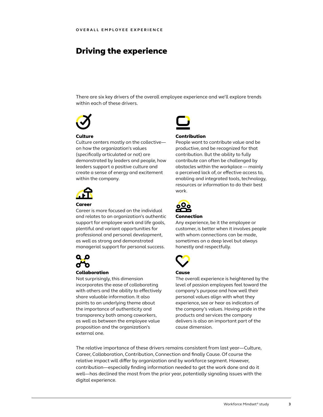### Driving the experience

There are six key drivers of the overall employee experience and we'll explore trends within each of these drivers.



### **Culture**

Culture centers mostly on the collective on how the organization's values (specifically articulated or not) are demonstrated by leaders and people, how leaders support a positive culture and create a sense of energy and excitement within the company.



### Career

Career is more focused on the individual and relates to an organization's authentic support for employee work and life goals, plentiful and variant opportunities for professional and personal development, as well as strong and demonstrated managerial support for personal success.



### Collaboration

Not surprisingly, this dimension incorporates the ease of collaborating with others and the ability to effectively share valuable information. It also points to an underlying theme about the importance of authenticity and transparency both among coworkers, as well as between the employee value proposition and the organization's external one.



### Contribution

People want to contribute value and be productive, and be recognized for that contribution. But the ability to fully contribute can often be challenged by obstacles within the workplace — mainly a perceived lack of, or effective access to, enabling and integrated tools, technology, resources or information to do their best work.



#### Connection

Any experience, be it the employee or customer, is better when it involves people with whom connections can be made, sometimes on a deep level but always honestly and respectfully.



### Cause

The overall experience is heightened by the level of passion employees feel toward the company's purpose and how well their personal values align with what they experience, see or hear as indicators of the company's values. Having pride in the products and services the company delivers is also an important part of the cause dimension.

The relative importance of these drivers remains consistent from last year—Culture, Career, Collaboration, Contribution, Connection and finally Cause. Of course the relative impact will differ by organization and by workforce segment. However, contribution—especially finding information needed to get the work done and do it well—has declined the most from the prior year, potentially signaling issues with the digital experience.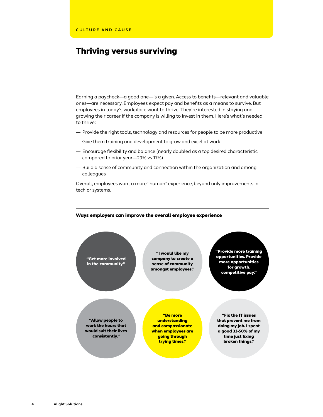### Thriving versus surviving

Earning a paycheck—a good one—is a given. Access to benefits—relevant and valuable ones—are necessary. Employees expect pay and benefits as a means to survive. But employees in today's workplace want to thrive. They're interested in staying and growing their career if the company is willing to invest in them. Here's what's needed to thrive:

- Provide the right tools, technology and resources for people to be more productive
- Give them training and development to grow and excel at work
- Encourage flexibility and balance (nearly doubled as a top desired characteristic compared to prior year—29% vs 17%)
- Build a sense of community and connection within the organization and among colleagues

Overall, employees want a more "human" experience, beyond only improvements in tech or systems.



#### Ways employers can improve the overall employee experience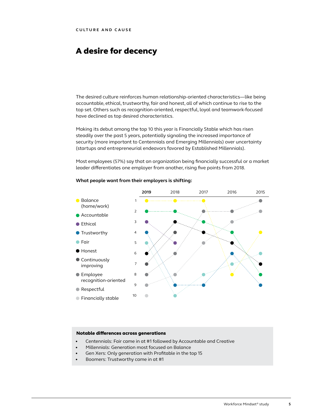### A desire for decency

The desired culture reinforces human relationship-oriented characteristics—like being accountable, ethical, trustworthy, fair and honest, all of which continue to rise to the top set. Others such as recognition-oriented, respectful, loyal and teamwork-focused have declined as top desired characteristics.

Making its debut among the top 10 this year is Financially Stable which has risen steadily over the past 5 years, potentially signaling the increased importance of security (more important to Centennials and Emerging Millennials) over uncertainty (startups and entrepreneurial endeavors favored by Established Millennials).

Most employees (57%) say that an organization being financially successful or a market leader differentiates one employer from another, rising five points from 2018.



### **What people want from their employers is shifting:**

### Notable differences across generations

- Centennials: Fair came in at #1 followed by Accountable and Creative
- Millennials: Generation most focused on Balance
- Gen Xers: Only generation with Profitable in the top 15
- Boomers: Trustworthy came in at #1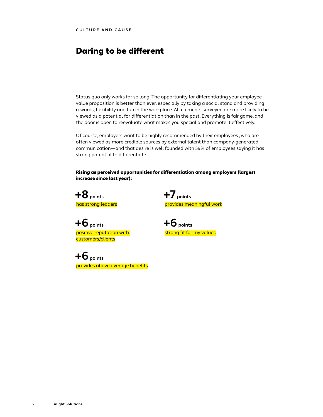### Daring to be different

Status quo only works for so long. The opportunity for differentiating your employee value proposition is better than ever, especially by taking a social stand and providing rewards, flexibility and fun in the workplace. All elements surveyed are more likely to be viewed as a potential for differentiation than in the past. Everything is fair game, and the door is open to reevaluate what makes you special and promote it effectively.

Of course, employers want to be highly recommended by their employees , who are often viewed as more credible sources by external talent than company-generated communication—and that desire is well founded with 59% of employees saying it has strong potential to differentiate.

Rising as perceived opportunities for differentiation among employers (largest increase since last year):

**+8 points** has strong leaders **+7 points** provides meaningful work

**+6 points** positive reputation with customers/clients

**+6 points** provides above average benefits **+6 points** strong fit for my values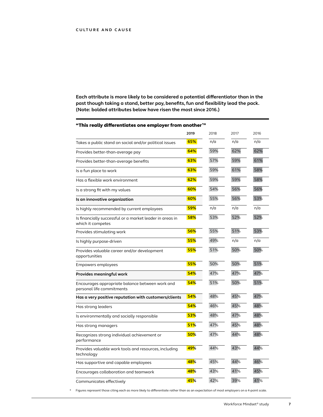**Each attribute is more likely to be considered a potential differentiator than in the past though taking a stand, better pay, benefits, fun and flexibility lead the pack. (Note: bolded attributes below have risen the most since 2016.)**

| "This really differentiates one employer from another""                       |      |      |      |      |
|-------------------------------------------------------------------------------|------|------|------|------|
|                                                                               | 2019 | 2018 | 2017 | 2016 |
| Takes a public stand on social and/or political issues                        | 65%  | n/a  | n/a  | n/a  |
| Provides better-than-average pay                                              | 64%  | 59%  | 62%  | 62%  |
| Provides better-than-average benefits                                         | 63%  | 57%  | 59%  | 61%  |
| Is a fun place to work                                                        | 63%  | 59%  | 61%  | 58%  |
| Has a flexible work environment                                               | 62%  | 59%  | 59%  | 58%  |
| Is a strong fit with my values                                                | 60%  | 54%  | 56%  | 56%  |
| Is an innovative organization                                                 | 60%  | 55%  | 56%  | 53%  |
| Is highly recommended by current employees                                    | 59%  | n/a  | n/a  | n/a  |
| Is financially successful or a market leader in areas in<br>which it competes | 58%  | 53%  | 52%  | 52%  |
| Provides stimulating work                                                     | 56%  | 55%  | 51%  | 53%  |
| Is highly purpose-driven                                                      | 55%  | 49%  | n/a  | n/a  |
| Provides valuable career and/or development<br>opportunities                  | 55%  | 51%  | 50%  | 50%  |
| Empowers employees                                                            | 55%  | 50%  | 50%  | 51%  |
| Provides meaningful work                                                      | 54%  | 47%  | 47%  | 47%  |
| Encourages appropriate balance between work and<br>personal life commitments  | 54%  | 51%  | 50%  | 51%  |
| Has a very positive reputation with customers/clients                         | 54%  | 48%  | 45%  | 47%  |
| Has strong leaders                                                            | 54%  | 46%  | 45%  | 48%  |
| Is environmentally and socially responsible                                   | 53%  | 48%  | 47%  | 48%  |
| Has strong managers                                                           | 51%  | 47%  | 45%  | 48%  |
| Recognizes strong individual achievement or<br>performance                    | 50%  | 47%  | 44%  | 48%  |
| Provides valuable work tools and resources, including<br>technology           | 49%  | 44%  | 43%  | 44%  |
| Has supportive and capable employees                                          | 48%  | 45%  | 44%  | 46%  |
| Encourages collaboration and teamwork                                         | 48%  | 43%  | 41%  | 45%  |
| Communicates effectively                                                      | 45%  | 42%  | 39%  | 41%  |

"This really differentiates one employer from another $^\star$ .. \*\*\*

\* Figures represent those citing each as more likely to differentiate rather than as an expectation of most employers on a 4-point scale.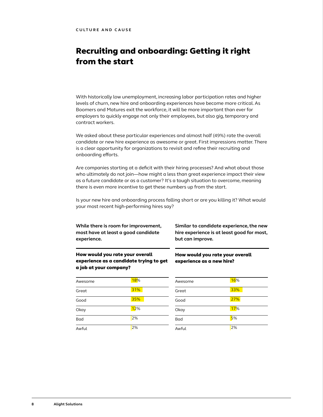## Recruiting and onboarding: Getting it right from the start

With historically low unemployment, increasing labor participation rates and higher levels of churn, new hire and onboarding experiences have become more critical. As Boomers and Matures exit the workforce, it will be more important than ever for employers to quickly engage not only their employees, but also gig, temporary and contract workers.

We asked about these particular experiences and almost half (49%) rate the overall candidate or new hire experience as awesome or great. First impressions matter. There is a clear opportunity for organizations to revisit and refine their recruiting and onboarding efforts.

Are companies starting at a deficit with their hiring processes? And what about those who ultimately do not join—how might a less than great experience impact their view as a future candidate or as a customer? It's a tough situation to overcome, meaning there is even more incentive to get these numbers up from the start.

Is your new hire and onboarding process falling short or are you killing it? What would your most recent high-performing hires say?

**While there is room for improvement, most have at least a good candidate experience.** 

**Similar to candidate experience, the new hire experience is at least good for most, but can improve.**

How would you rate your overall

experience as a new hire?

How would you rate your overall experience as a candidate trying to get a job at your company?

| Awesome | 18% |
|---------|-----|
| Great   | 31% |
| Good    | 35% |
| Okay    | 12% |
| Bad     | 2%  |
| Awful   | 2%  |

| Awesome | 16% |
|---------|-----|
| Great   | 33% |
| Good    | 27% |
| Okay    | 17% |
| Bad     | 5%  |
| Awful   | 2%  |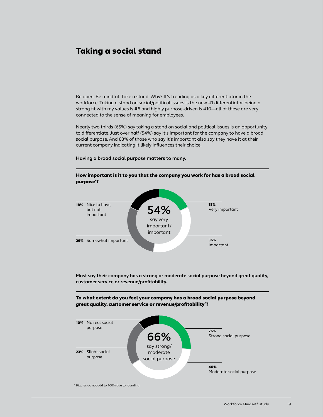### Taking a social stand

Be open. Be mindful. Take a stand. Why? It's trending as a key differentiator in the workforce. Taking a stand on social/political issues is the new #1 differentiator, being a strong fit with my values is #6 and highly purpose-driven is #10—all of these are very connected to the sense of meaning for employees.

Nearly two thirds (65%) say taking a stand on social and political issues is an opportunity to differentiate. Just over half (54%) say it's important for the company to have a broad social purpose. And 83% of those who say it's important also say they have it at their current company indicating it likely influences their choice.

How important is it to you that the company you work for has a broad social

#### **Having a broad social purpose matters to many.**



**Most say their company has a strong or moderate social purpose beyond great quality, customer service or revenue/profitability.** 

To what extent do you feel your company has a broad social purpose beyond great quality, customer service or revenue/profitability\* ?

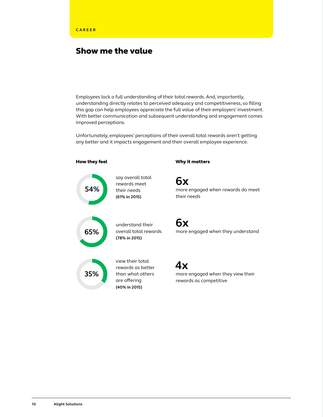### Show me the value

Employees lack a full understanding of their total rewards. And, importantly, understanding directly relates to perceived adequacy and competitiveness, so filling this gap can help employees appreciate the full value of their employers' investment. With better communication and subsequent understanding and engagement comes improved perceptions.

Unfortunately, employees' perceptions of their overall total rewards aren't getting any better and it impacts engagement and their overall employee experience.

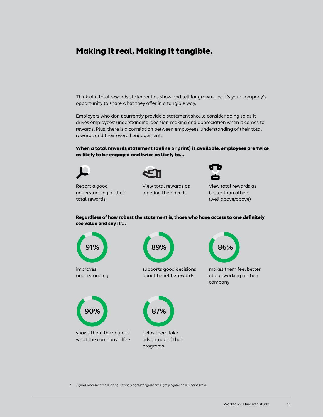### Making it real. Making it tangible.

Think of a total rewards statement as show and tell for grown-ups. It's your company's opportunity to share what they offer in a tangible way.

Employers who don't currently provide a statement should consider doing so as it drives employees' understanding, decision-making and appreciation when it comes to rewards. Plus, there is a correlation between employees' understanding of their total rewards and their overall engagement.

When a total rewards statement (online or print) is available, employees are twice as likely to be engaged and twice as likely to…

Report a good understanding of their total rewards



View total rewards as meeting their needs



View total rewards as better than others (well above/above)

Regardless of how robust the statement is, those who have access to one definitely see value and say it\* ...



\* Figures represent those citing "strongly agree," "agree" or "slightly agree" on a 6-point scale.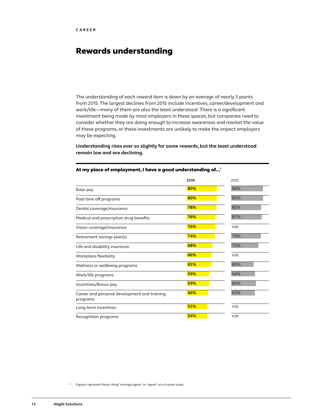### Rewards understanding

The understanding of each reward item is down by an average of nearly 5 points from 2015. The largest declines from 2015 include incentives, career/development and work/life—many of them are also the least understood. There is a significant investment being made by most employers in these spaces, but companies need to consider whether they are doing enough to increase awareness and market the value of these programs, or these investments are unlikely to make the impact employers may be expecting.

**Understanding rises ever so slightly for some rewards, but the least understood remain low and are declining.** 

|                                                          | 2019 | 2015 |
|----------------------------------------------------------|------|------|
| Base pay                                                 | 80%  | 84%  |
| Paid time off programs                                   | 80%  | 85%  |
| Dental coverage/insurance                                | 78%  | 80%  |
| Medical and prescription drug benefits                   | 76%  | 81%  |
| Vision coverage/insurance                                | 76%  | n/a  |
| Retirement savings plan(s)                               | 74%  | 79%  |
| Life and disability insurance                            | 68%  | 72%  |
| Workplace flexibility                                    | 66%  | n/a  |
| Wellness or wellbeing programs                           | 65%  | 60%  |
| Work/life programs                                       | 59%  | 64%  |
| Incentives/Bonus pay                                     | 59%  | 66%  |
| Career and personal development and training<br>programs | 56%  | 63%  |
| Long-term incentives                                     | 55%  | n/a  |
| Recognition programs                                     | 54%  | n/a  |

#### At my place of employment, I have a good understanding of...\*

\* Figures represent those citing "strongly agree" or "agree" on a 6-point scale.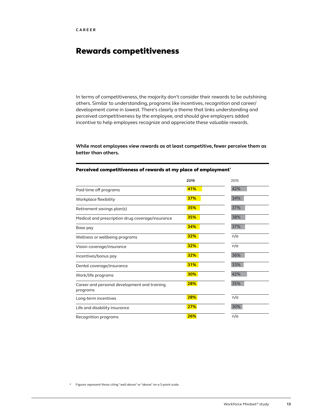## Rewards competitiveness

In terms of competitiveness, the majority don't consider their rewards to be outshining others. Similar to understanding, programs like incentives, recognition and career/ development come in lowest. There's clearly a theme that links understanding and perceived competitiveness by the employee, and should give employers added incentive to help employees recognize and appreciate these valuable rewards.

### **While most employees view rewards as at least competitive, fewer perceive them as better than others.**

|                                                          | 2019       | 2015 |
|----------------------------------------------------------|------------|------|
| Paid time off programs                                   | 41%        | 42%  |
| Workplace flexibility                                    | 37%        | 34%  |
| Retirement savings plan(s)                               | 35%        | 37%  |
| Medical and prescription drug coverage/insurance         | 35%        | 38%  |
| Base pay                                                 | 34%        | 37%  |
| Wellness or wellbeing programs                           | 32%        | n/a  |
| Vision coverage/insurance                                | 32%        | n/a  |
| Incentives/bonus pay                                     | 32%        | 36%  |
| Dental coverage/insurance                                | <b>31%</b> | 33%  |
| Work/life programs                                       | 30%        | 42%  |
| Career and personal development and training<br>programs | 28%        | 35%  |
| Long-term incentives                                     | 28%        | n/a  |
| Life and disability insurance                            | 27%        | 30%  |
| Recognition programs                                     | 26%        | n/a  |

#### Perceived competitiveness of rewards at my place of employment\*

\* Figures represent those citing "well above" or "above" on a 5-point scale.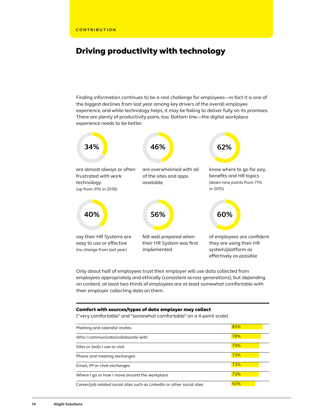### Driving productivity with technology

Finding information continues to be a real challenge for employees—in fact it is one of the biggest declines from last year among key drivers of the overall employee experience, and while technology helps, it may be failing to deliver fully on its promises. There are plenty of productivity pains, too. Bottom line—the digital workplace experience needs to be better.



Only about half of employees trust their employer will use data collected from employees appropriately and ethically (consistent across generations), but depending on content, at least two thirds of employees are at least somewhat comfortable with their employer collecting data on them.

### Comfort with sources/types of data employer may collect

("very comfortable" and "somewhat comfortable" on a 4-point scale)

| Meeting and calendar invites                                           | 83% |  |
|------------------------------------------------------------------------|-----|--|
| Who I communicate/collaborate with                                     | 78% |  |
| Sites or tools I use or visit                                          | 74% |  |
| Phone and meeting exchanges                                            | 73% |  |
| Email, IM or chat exchanges                                            | 73% |  |
| Where I go or how I move around the workplace                          | 73% |  |
| Career/job related social sites such as Linked n or other social sites | 63% |  |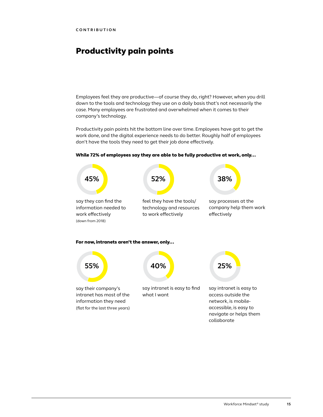## Productivity pain points

Employees feel they are productive—of course they do, right? However, when you drill down to the tools and technology they use on a daily basis that's not necessarily the case. Many employees are frustrated and overwhelmed when it comes to their company's technology.

Productivity pain points hit the bottom line over time. Employees have got to get the work done, and the digital experience needs to do better. Roughly half of employees don't have the tools they need to get their job done effectively.



#### While 72% of employees say they are able to be fully productive at work, only...

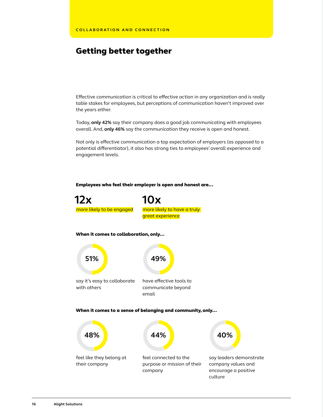### Getting better together

Effective communication is critical to effective action in any organization and is really table stakes for employees, but perceptions of communication haven't improved over the years either.

Today, **only 42%** say their company does a good job communicating with employees overall. And, **only 46%** say the communication they receive is open and honest.

Not only is effective communication a top expectation of employers (as opposed to a potential differentiator), it also has strong ties to employees' overall experience and engagement levels.

### Employees who feel their employer is open and honest are...



feel connected to the purpose or mission of their company

say leaders demonstrate company values and encourage a positive culture

feel like they belong at

their company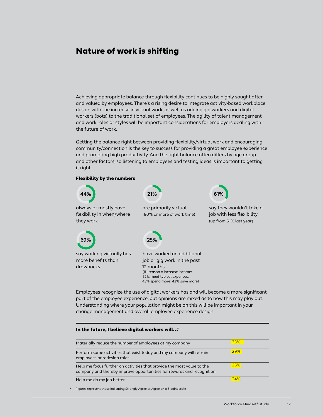### Nature of work is shifting

Achieving appropriate balance through flexibility continues to be highly sought after and valued by employees. There's a rising desire to integrate activity-based workplace design with the increase in virtual work, as well as adding gig workers and digital workers (bots) to the traditional set of employees. The agility of talent management and work roles or styles will be important considerations for employers dealing with the future of work.

Getting the balance right between providing flexibility/virtual work and encouraging community/connection is the key to success for providing a great employee experience and promoting high productivity. And the right balance often differs by age group and other factors, so listening to employees and testing ideas is important to getting it right.



Employees recognize the use of digital workers has and will become a more significant part of the employee experience, but opinions are mixed as to how this may play out. Understanding where your population might be on this will be important in your change management and overall employee experience design.

### In the future, I believe digital workers will...\*

| Materially reduce the number of employees at my company                                                                                         | 33% |
|-------------------------------------------------------------------------------------------------------------------------------------------------|-----|
| Perform some activities that exist today and my company will retrain<br>employees or redesign roles                                             | 29% |
| Help me focus further on activities that provide the most value to the<br>company and thereby improve opportunities for rewards and recognition | 25% |
| Help me do my job better                                                                                                                        | 24% |

Figures represent those indicating Strongly Agree or Agree on a 6-point scale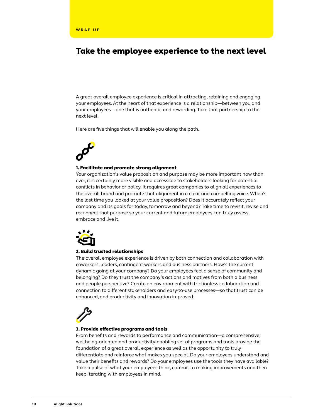### Take the employee experience to the next level

A great overall employee experience is critical in attracting, retaining and engaging your employees. At the heart of that experience is a relationship—between you and your employees—one that is authentic and rewarding. Take that partnership to the next level.

Here are five things that will enable you along the path.

#### 1. Facilitate and promote strong alignment

Your organization's value proposition and purpose may be more important now than ever, it is certainly more visible and accessible to stakeholders looking for potential conflicts in behavior or policy. It requires great companies to align all experiences to the overall brand and promote that alignment in a clear and compelling voice. When's the last time you looked at your value proposition? Does it accurately reflect your company and its goals for today, tomorrow and beyond? Take time to revisit, revise and reconnect that purpose so your current and future employees can truly assess, embrace and live it.



#### 2. Build trusted relationships

The overall employee experience is driven by both connection and collaboration with coworkers, leaders, contingent workers and business partners. How's the current dynamic going at your company? Do your employees feel a sense of community and belonging? Do they trust the company's actions and motives from both a business and people perspective? Create an environment with frictionless collaboration and connection to different stakeholders and easy-to-use processes—so that trust can be enhanced, and productivity and innovation improved.



#### 3. Provide effective programs and tools

From benefits and rewards to performance and communication—a comprehensive, wellbeing-oriented and productivity-enabling set of programs and tools provide the foundation of a great overall experience as well as the opportunity to truly differentiate and reinforce what makes you special. Do your employees understand and value their benefits and rewards? Do your employees use the tools they have available? Take a pulse of what your employees think, commit to making improvements and then keep iterating with employees in mind.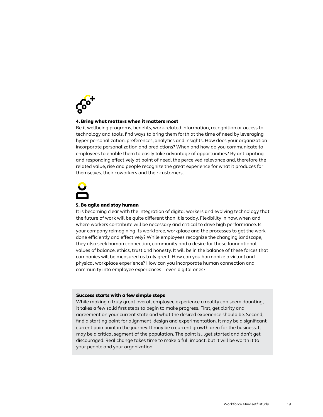

### 4. Bring what matters when it matters most

Be it wellbeing programs, benefits, work-related information, recognition or access to technology and tools, find ways to bring them forth at the time of need by leveraging hyper-personalization, preferences, analytics and insights. How does your organization incorporate personalization and predictions? When and how do you communicate to employees to enable them to easily take advantage of opportunities? By anticipating and responding effectively at point of need, the perceived relevance and, therefore the related value, rise and people recognize the great experience for what it produces for themselves, their coworkers and their customers.

#### 5. Be agile and stay human

It is becoming clear with the integration of digital workers and evolving technology that the future of work will be quite different than it is today. Flexibility in how, when and where workers contribute will be necessary and critical to drive high performance. Is your company reimagining its workforce, workplace and the processes to get the work done efficiently and effectively? While employees recognize the changing landscape, they also seek human connection, community and a desire for those foundational values of balance, ethics, trust and honesty. It will be in the balance of these forces that companies will be measured as truly great. How can you harmonize a virtual and physical workplace experience? How can you incorporate human connection and community into employee experiences—even digital ones?

### Success starts with a few simple steps

While making a truly great overall employee experience a reality can seem daunting, it takes a few solid first steps to begin to make progress. First, get clarity and agreement on your current state and what the desired experience should be. Second, find a starting point for alignment, design and experimentation. It may be a significant current pain point in the journey. It may be a current growth area for the business. It may be a critical segment of the population. The point is…get started and don't get discouraged. Real change takes time to make a full impact, but it will be worth it to your people and your organization.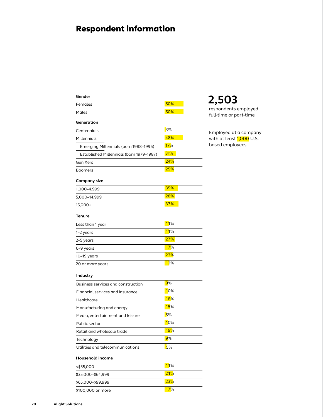# Respondent information

| Gender                                   |            |                                                |
|------------------------------------------|------------|------------------------------------------------|
| Females                                  | 50%        | 2,503                                          |
| Males                                    | 50%        | respondents employed<br>full-time or part-time |
| Generation                               |            |                                                |
| Centennials                              | 3%         | Employed at a company                          |
| Millennials                              | 48%        | with at least 1,000 U.S.                       |
| Emerging Millennials (born 1988-1996)    | 17%        | based employees                                |
| Established Millennials (born 1979–1987) | 31%        |                                                |
| Gen Xers                                 | 24%        |                                                |
| <b>Boomers</b>                           | 25%        |                                                |
| Company size                             |            |                                                |
| 1,000–4,999                              | 35%        |                                                |
| 5,000-14,999                             | 28%        |                                                |
| $15,000+$                                | 37%        |                                                |
| Tenure                                   |            |                                                |
| Less than 1 year                         | 11%        |                                                |
| 1-2 years                                | 11%        |                                                |
| 2-5 years                                | 27%        |                                                |
| 6-9 years                                | 17%        |                                                |
| $10-19$ years                            | 23%        |                                                |
| 20 or more years                         | 12%        |                                                |
| Industry                                 |            |                                                |
| Business services and construction       | 9%         |                                                |
| Financial services and insurance         | 10%        |                                                |
| Healthcare                               | <b>18%</b> |                                                |
| Manufacturing and energy                 | 15%        |                                                |
| Media, entertainment and leisure         | 5%         |                                                |
| Public sector                            | 10%        |                                                |
| Retail and wholesale trade               | <b>19%</b> |                                                |
| Technology                               | 9%         |                                                |
| Utilities and telecommunications         | 5%         |                                                |
| Household income                         |            |                                                |
| $<$ \$35,000                             | 11%        |                                                |
| \$35,000-\$64,999                        | 21%        |                                                |
| \$65,000-\$99,999                        | <b>23%</b> |                                                |
| \$100,000 or more                        | 17%        |                                                |

a company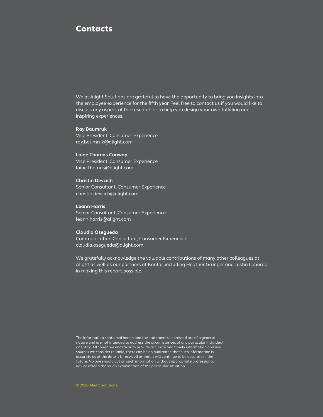### **Contacts**

We at Alight Solutions are grateful to have the opportunity to bring you insights into the employee experience for the fifth year. Feel free to contact us if you would like to discuss any aspect of the research or to help you design your own fulfilling and inspiring experiences.

### **Ray Baumruk**

Vice President, Consumer Experience ray.baumruk@alight.com

### **Laine Thomas Conway**

Vice President, Consumer Experience laine.thomas@alight.com

#### **Christin Devcich**

Senior Consultant, Consumer Experience christin.devcich@alight.com

### **Leann Harris**

Senior Consultant, Consumer Experience leann.harris@alight.com

### **Claudia Osegueda**

Communication Consultant, Consumer Experience claudia.osegueda@alight.com

We gratefully acknowledge the valuable contributions of many other colleagues at Alight as well as our partners at Kantar, including Heather Granger and Justin Laborde, in making this report possible.

The information contained herein and the statements expressed are of a general nature and are not intended to address the circumstances of any particular individual or entity. Although we endeavor to provide accurate and timely information and use sources we consider reliable, there can be no guarantee that such information is accurate as of the date it is received or that it will continue to be accurate in the future. No one should act on such information without appropriate professional advice after a thorough examination of the particular situation.